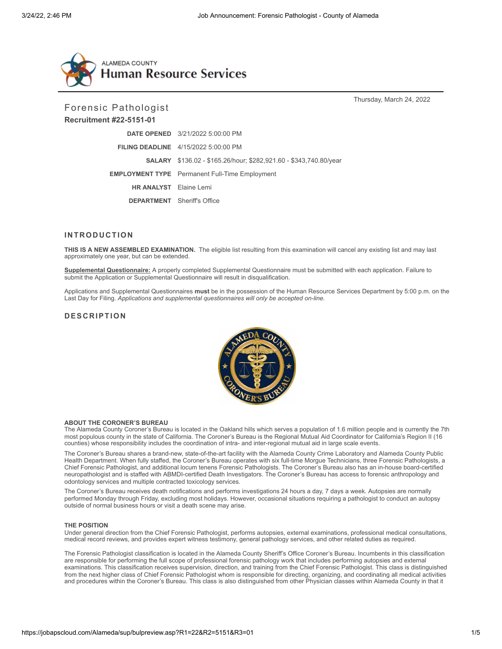

Forensic Pathologist

# **Recruitment #22-5151-01**

Thursday, March 24, 2022

|                                    | <b>DATE OPENED</b> 3/21/2022 5:00:00 PM                                  |
|------------------------------------|--------------------------------------------------------------------------|
|                                    | <b>FILING DEADLINE</b> 4/15/2022 5:00:00 PM                              |
|                                    | <b>SALARY</b> \$136.02 - \$165.26/hour; \$282,921.60 - \$343,740.80/year |
|                                    | <b>EMPLOYMENT TYPE</b> Permanent Full-Time Employment                    |
| <b>HR ANALYST</b> Elaine Lemi      |                                                                          |
| <b>DEPARTMENT</b> Sheriff's Office |                                                                          |

## **INTRODUCTION**

**THIS IS A NEW ASSEMBLED EXAMINATION.** The eligible list resulting from this examination will cancel any existing list and may last approximately one year, but can be extended.

**Supplemental Questionnaire:** A properly completed Supplemental Questionnaire must be submitted with each application. Failure to submit the Application or Supplemental Questionnaire will result in disqualification.

Applications and Supplemental Questionnaires **must** be in the possession of the Human Resource Services Department by 5:00 p.m. on the Last Day for Filing. *Applications and supplemental questionnaires will only be accepted on-line.*

# **DESCRIPTION**



#### **ABOUT THE CORONER'S BUREAU**

The Alameda County Coroner's Bureau is located in the Oakland hills which serves a population of 1.6 million people and is currently the 7th most populous county in the state of California. The Coroner's Bureau is the Regional Mutual Aid Coordinator for California's Region II (16 counties) whose responsibility includes the coordination of intra- and inter-regional mutual aid in large scale events.

The Coroner's Bureau shares a brand-new, state-of-the-art facility with the Alameda County Crime Laboratory and Alameda County Public Health Department. When fully staffed, the Coroner's Bureau operates with six full-time Morgue Technicians, three Forensic Pathologists, a Chief Forensic Pathologist, and additional locum tenens Forensic Pathologists. The Coroner's Bureau also has an in-house board-certified neuropathologist and is staffed with ABMDI-certified Death Investigators. The Coroner's Bureau has access to forensic anthropology and odontology services and multiple contracted toxicology services.

The Coroner's Bureau receives death notifications and performs investigations 24 hours a day, 7 days a week. Autopsies are normally performed Monday through Friday, excluding most holidays. However, occasional situations requiring a pathologist to conduct an autopsy outside of normal business hours or visit a death scene may arise.

### **THE POSITION**

Under general direction from the Chief Forensic Pathologist, performs autopsies, external examinations, professional medical consultations, medical record reviews, and provides expert witness testimony, general pathology services, and other related duties as required.

The Forensic Pathologist classification is located in the Alameda County Sheriff's Office Coroner's Bureau. Incumbents in this classification are responsible for performing the full scope of professional forensic pathology work that includes performing autopsies and external examinations. This classification receives supervision, direction, and training from the Chief Forensic Pathologist. This class is distinguished from the next higher class of Chief Forensic Pathologist whom is responsible for directing, organizing, and coordinating all medical activities and procedures within the Coroner's Bureau. This class is also distinguished from other Physician classes within Alameda County in that it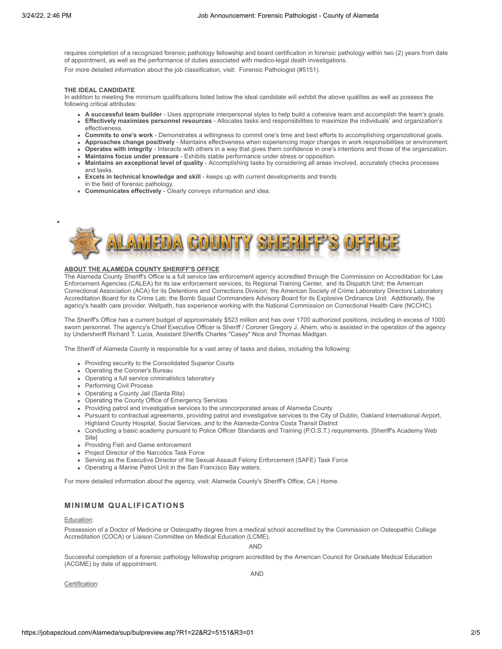requires completion of a recognized forensic pathology fellowship and board certification in forensic pathology within two (2) years from date of appointment, as well as the performance of duties associated with medico-legal death investigations.

For more detailed information about the job classification, visit: [Forensic Pathologist \(#5151\).](https://www.jobapscloud.com/Alameda/specs/classspecdisplay.asp?ClassNumber=5151&R1=undefined&R3=undefined)

## **THE IDEAL CANDIDATE**

In addition to meeting the minimum qualifications listed below the ideal candidate will exhibit the above qualities as well as possess the following critical attributes:

- **A successful team builder** Uses appropriate interpersonal styles to help build a cohesive team and accomplish the team's goals.
- **Effectively maximizes personnel resources** Allocates tasks and responsibilities to maximize the individuals' and organization's effectiveness.
- **Commits to one's work** Demonstrates a willingness to commit one's time and best efforts to accomplishing organizational goals.
- **Approaches change positively** Maintains effectiveness when experiencing major changes in work responsibilities or environment.
- **Operates with integrity** Interacts with others in a way that gives them confidence in one's intentions and those of the organization. **Maintains focus under pressure** - Exhibits stable performance under stress or opposition.
- **Maintains an exceptional level of quality** Accomplishing tasks by considering all areas involved, accurately checks processes and tasks.
- **Excels in technical knowledge and skill** keeps up with current developments and trends in the field of forensic pathology.
- **Communicates effectively** Clearly conveys information and idea.



### **ABOUT THE ALAMEDA COUNTY SHERIFF'S OFFICE**

The Alameda County Sheriff's Office is a full service law enforcement agency accredited through the Commission on Accreditation for Law Enforcement Agencies (CALEA) for its law enforcement services, its Regional Training Center, and its Dispatch Unit; the American Correctional Association (ACA) for its Detentions and Corrections Division; the American Society of Crime Laboratory Directors Laboratory Accreditation Board for its Crime Lab; the Bomb Squad Commanders Advisory Board for its Explosive Ordinance Unit. Additionally, the agency's health care provider, Wellpath, has experience working with the National Commission on Correctional Health Care (NCCHC).

The Sheriff's Office has a current budget of approximately \$523 million and has over 1700 authorized positions, including in excess of 1000 sworn personnel. The agency's Chief Executive Officer is Sheriff / Coroner Gregory J. Ahern, who is assisted in the operation of the agency by Undersheriff Richard T. Lucia, Assistant Sheriffs Charles "Casey" Nice and Thomas Madigan.

The Sheriff of Alameda County is responsible for a vast array of tasks and duties, including the following:

- Providing security to the Consolidated Superior Courts
- Operating the Coroner's Bureau
- Operating a full service criminalistics laboratory
- Performing Civil Process
- Operating a County Jail (Santa Rita)
- Operating the County Office of Emergency Services
- Providing patrol and investigative services to the unincorporated areas of Alameda County
- Pursuant to contractual agreements, providing patrol and investigative services to the City of Dublin, Oakland International Airport, Highland County Hospital, Social Services, and to the Alameda-Contra Costa Transit District
- [Conducting a basic academy pursuant to Police Officer Standards and Training \(P.O.S.T.\) requirements. \[Sheriff's Academy Web](https://www.sheriffacademy.com/section.php?view=academy) Site]
- Providing Fish and Game enforcement
- Project Director of the Narcotics Task Force
- Serving as the Executive Director of the Sexual Assault Felony Enforcement (SAFE) Task Force
- Operating a Marine Patrol Unit in the San Francisco Bay waters.

For more detailed information about the agency, visit: [Alameda County's Sheriff's Office, CA | Home.](https://www.alamedacountysheriff.org/)

# **M INI M U M QUALIFICATIONS**

#### Education:

Possession of a Doctor of Medicine or Osteopathy degree from a medical school accredited by the Commission on Osteopathic College Accreditation (COCA) or Liaison Committee on Medical Education (LCME).

AND

Successful completion of a forensic pathology fellowship program accredited by the American Council for Graduate Medical Education (ACGME) by date of appointment.

Certification:

AND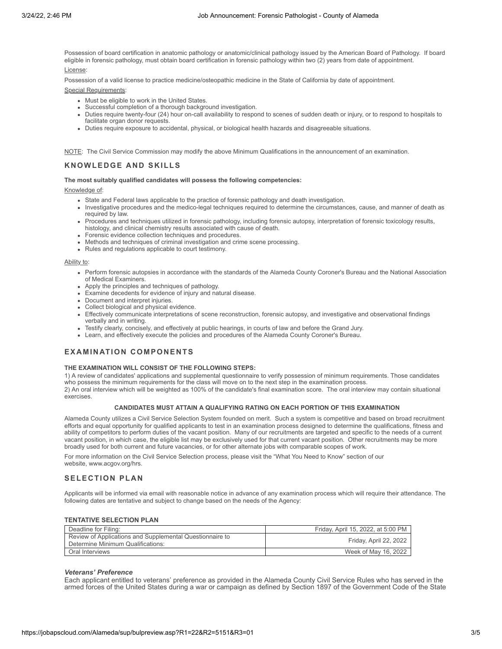Possession of board certification in anatomic pathology or anatomic/clinical pathology issued by the American Board of Pathology. If board eligible in forensic pathology, must obtain board certification in forensic pathology within two (2) years from date of appointment.

License:

Possession of a valid license to practice medicine/osteopathic medicine in the State of California by date of appointment.

Special Requirements:

- Must be eligible to work in the United States.
- Successful completion of a thorough background investigation.
- Duties require twenty-four (24) hour on-call availability to respond to scenes of sudden death or injury, or to respond to hospitals to facilitate organ donor requests.
- Duties require exposure to accidental, physical, or biological health hazards and disagreeable situations.

NOTE: The Civil Service Commission may modify the above Minimum Qualifications in the announcement of an examination.

# **KNOWLEDGE AND SKILLS**

#### **The most suitably qualified candidates will possess the following competencies:**

Knowledge of:

- State and Federal laws applicable to the practice of forensic pathology and death investigation.
- Investigative procedures and the medico-legal techniques required to determine the circumstances, cause, and manner of death as required by law.
- Procedures and techniques utilized in forensic pathology, including forensic autopsy, interpretation of forensic toxicology results, histology, and clinical chemistry results associated with cause of death.
- Forensic evidence collection techniques and procedures.
- Methods and techniques of criminal investigation and crime scene processing.
- Rules and regulations applicable to court testimony.

### Ability to:

- Perform forensic autopsies in accordance with the standards of the Alameda County Coroner's Bureau and the National Association of Medical Examiners.
- Apply the principles and techniques of pathology.
- Examine decedents for evidence of injury and natural disease.
- Document and interpret injuries.
- Collect biological and physical evidence.
- Effectively communicate interpretations of scene reconstruction, forensic autopsy, and investigative and observational findings verbally and in writing.
- Testify clearly, concisely, and effectively at public hearings, in courts of law and before the Grand Jury.
- Learn, and effectively execute the policies and procedures of the Alameda County Coroner's Bureau.

# **EXAMINATION COMPONENTS**

### **THE EXAMINATION WILL CONSIST OF THE FOLLOWING STEPS:**

1) A review of candidates' applications and supplemental questionnaire to verify possession of minimum requirements. Those candidates who possess the minimum requirements for the class will move on to the next step in the examination process. 2) An oral interview which will be weighted as 100% of the candidate's final examination score. The oral interview may contain situational exercises.

#### **CANDIDATES MUST ATTAIN A QUALIFYING RATING ON EACH PORTION OF THIS EXAMINATION**

Alameda County utilizes a Civil Service Selection System founded on merit. Such a system is competitive and based on broad recruitment efforts and equal opportunity for qualified applicants to test in an examination process designed to determine the qualifications, fitness and ability of competitors to perform duties of the vacant position. Many of our recruitments are targeted and specific to the needs of a current vacant position, in which case, the eligible list may be exclusively used for that current vacant position. Other recruitments may be more broadly used for both current and future vacancies, or for other alternate jobs with comparable scopes of work.

For more information on the Civil Service Selection process, please visit the "What You Need to Know" section of our website, [www.acgov.org/hrs.](http://www.acgov.org/hrs)

# **SELECTION PLAN**

Applicants will be informed via email with reasonable notice in advance of any examination process which will require their attendance. The following dates are tentative and subject to change based on the needs of the Agency:

# **TENTATIVE SELECTION PLAN**

| Deadline for Filing:                                                                          | Friday, April 15, 2022, at 5:00 PM |
|-----------------------------------------------------------------------------------------------|------------------------------------|
| Review of Applications and Supplemental Questionnaire to<br>Determine Minimum Qualifications: | Friday, April 22, 2022             |
| Oral Interviews                                                                               | Week of May 16, 2022               |

#### *Veterans' Preference*

Each applicant entitled to veterans' preference as provided in the Alameda County Civil Service Rules who has served in the armed forces of the United States during a war or campaign as defined by Section 1897 of the Government Code of the State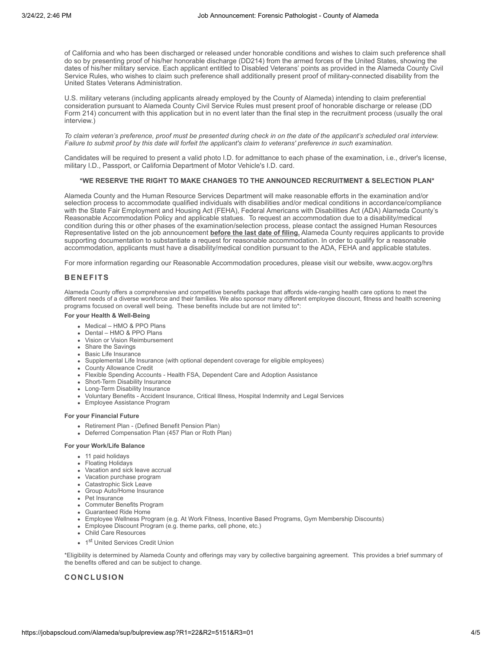of California and who has been discharged or released under honorable conditions and wishes to claim such preference shall do so by presenting proof of his/her honorable discharge (DD214) from the armed forces of the United States, showing the dates of his/her military service. Each applicant entitled to Disabled Veterans' points as provided in the Alameda County Civil Service Rules, who wishes to claim such preference shall additionally present proof of military-connected disability from the United States Veterans Administration.

U.S. military veterans (including applicants already employed by the County of Alameda) intending to claim preferential consideration pursuant to Alameda County Civil Service Rules must present proof of honorable discharge or release (DD Form 214) concurrent with this application but in no event later than the final step in the recruitment process (usually the oral interview.)

*To claim veteran's preference, proof must be presented during check in on the date of the applicant's scheduled oral interview. Failure to submit proof by this date will forfeit the applicant's claim to veterans' preference in such examination.*

Candidates will be required to present a valid photo I.D. for admittance to each phase of the examination, i.e., driver's license, military I.D., Passport, or California Department of Motor Vehicle's I.D. card.

### **\*WE RESERVE THE RIGHT TO MAKE CHANGES TO THE ANNOUNCED RECRUITMENT & SELECTION PLAN\***

Alameda County and the Human Resource Services Department will make reasonable efforts in the examination and/or selection process to accommodate qualified individuals with disabilities and/or medical conditions in accordance/compliance with the State Fair Employment and Housing Act (FEHA), Federal Americans with Disabilities Act (ADA) Alameda County's Reasonable Accommodation Policy and applicable statues. To request an accommodation due to a disability/medical condition during this or other phases of the examination/selection process, please contact the assigned Human Resources Representative listed on the job announcement **before the last date of filing.** Alameda County requires applicants to provide supporting documentation to substantiate a request for reasonable accommodation. In order to qualify for a reasonable accommodation, applicants must have a disability/medical condition pursuant to the ADA, FEHA and applicable statutes.

For more information regarding our Reasonable Accommodation procedures, please visit our website, [www.acgov.org/hrs](http://www.acgov.org/hrs)

## **BENEFITS**

Alameda County offers a comprehensive and competitive benefits package that affords wide-ranging health care options to meet the different needs of a diverse workforce and their families. We also sponsor many different employee discount, fitness and health screening programs focused on overall well being. These benefits include but are not limited to\*:

#### **For your Health & Well-Being**

- Medical HMO & PPO Plans
- Dental HMO & PPO Plans
- Vision or Vision Reimbursement
- Share the Savings
- Basic Life Insurance
- Supplemental Life Insurance (with optional dependent coverage for eligible employees)
- County Allowance Credit
- Flexible Spending Accounts Health FSA, Dependent Care and Adoption Assistance
- Short-Term Disability Insurance
- Long-Term Disability Insurance
- Voluntary Benefits Accident Insurance, Critical Illness, Hospital Indemnity and Legal Services • Employee Assistance Program
- **For your Financial Future**
	- Retirement Plan (Defined Benefit Pension Plan)
	- Deferred Compensation Plan (457 Plan or Roth Plan)

#### **For your Work/Life Balance**

- 11 paid holidays
- Floating Holidays
- Vacation and sick leave accrual
- Vacation purchase program
- Catastrophic Sick Leave
- Group Auto/Home Insurance
- Pet Insurance
- Commuter Benefits Program
- Guaranteed Ride Home
- Employee Wellness Program (e.g. At Work Fitness, Incentive Based Programs, Gym Membership Discounts)
- Employee Discount Program (e.g. theme parks, cell phone, etc.)
- Child Care Resources
- 1st United Services Credit Union

\*Eligibility is determined by Alameda County and offerings may vary by collective bargaining agreement. This provides a brief summary of the benefits offered and can be subject to change.

# **CONCLUSION**